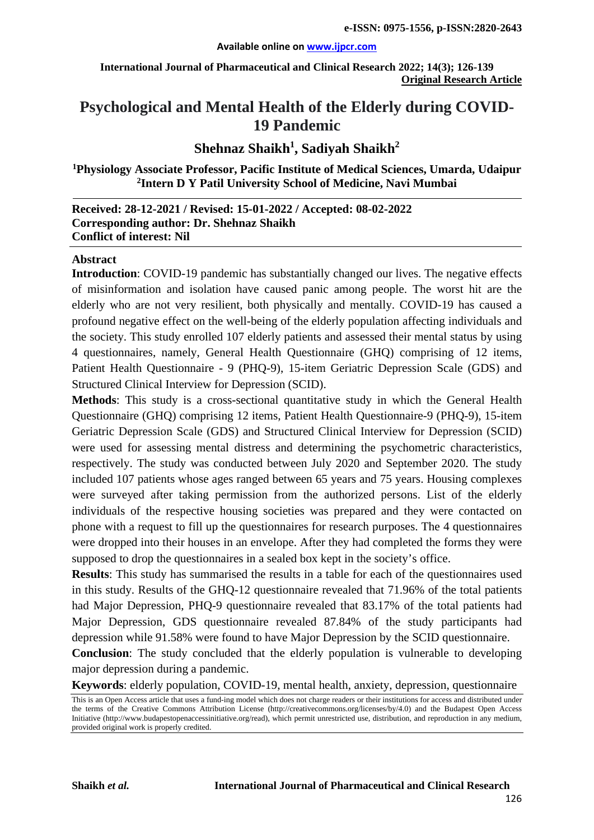#### **Available online on [www.ijpcr.com](http://www.ijpcr.com/)**

**International Journal of Pharmaceutical and Clinical Research 2022; 14(3); 126-139 Original Research Article**

# **Psychological and Mental Health of the Elderly during COVID-19 Pandemic**

## $\mathbf S$ hehnaz  $\mathbf S$ haikh $^1$ ,  $\mathbf S$ adiyah  $\mathbf S$ haikh $^2$

**1 Physiology Associate Professor, Pacific Institute of Medical Sciences, Umarda, Udaipur 2 Intern D Y Patil University School of Medicine, Navi Mumbai**

#### **Received: 28-12-2021 / Revised: 15-01-2022 / Accepted: 08-02-2022 Corresponding author: Dr. Shehnaz Shaikh Conflict of interest: Nil**

#### **Abstract**

**Introduction**: COVID-19 pandemic has substantially changed our lives. The negative effects of misinformation and isolation have caused panic among people. The worst hit are the elderly who are not very resilient, both physically and mentally. COVID-19 has caused a profound negative effect on the well-being of the elderly population affecting individuals and the society. This study enrolled 107 elderly patients and assessed their mental status by using 4 questionnaires, namely, General Health Questionnaire (GHQ) comprising of 12 items, Patient Health Questionnaire - 9 (PHQ-9), 15-item Geriatric Depression Scale (GDS) and Structured Clinical Interview for Depression (SCID).

**Methods**: This study is a cross-sectional quantitative study in which the General Health Questionnaire (GHQ) comprising 12 items, Patient Health Questionnaire-9 (PHQ-9), 15-item Geriatric Depression Scale (GDS) and Structured Clinical Interview for Depression (SCID) were used for assessing mental distress and determining the psychometric characteristics, respectively. The study was conducted between July 2020 and September 2020. The study included 107 patients whose ages ranged between 65 years and 75 years. Housing complexes were surveyed after taking permission from the authorized persons. List of the elderly individuals of the respective housing societies was prepared and they were contacted on phone with a request to fill up the questionnaires for research purposes. The 4 questionnaires were dropped into their houses in an envelope. After they had completed the forms they were supposed to drop the questionnaires in a sealed box kept in the society's office.

**Results**: This study has summarised the results in a table for each of the questionnaires used in this study. Results of the GHQ-12 questionnaire revealed that 71.96% of the total patients had Major Depression, PHQ-9 questionnaire revealed that 83.17% of the total patients had Major Depression, GDS questionnaire revealed 87.84% of the study participants had depression while 91.58% were found to have Major Depression by the SCID questionnaire.

**Conclusion**: The study concluded that the elderly population is vulnerable to developing major depression during a pandemic.

**Keywords**: elderly population, COVID-19, mental health, anxiety, depression, questionnaire

This is an Open Access article that uses a fund-ing model which does not charge readers or their institutions for access and distributed under the terms of the Creative Commons Attribution License (http://creativecommons.org/licenses/by/4.0) and the Budapest Open Access Initiative (http://www.budapestopenaccessinitiative.org/read), which permit unrestricted use, distribution, and reproduction in any medium, provided original work is properly credited.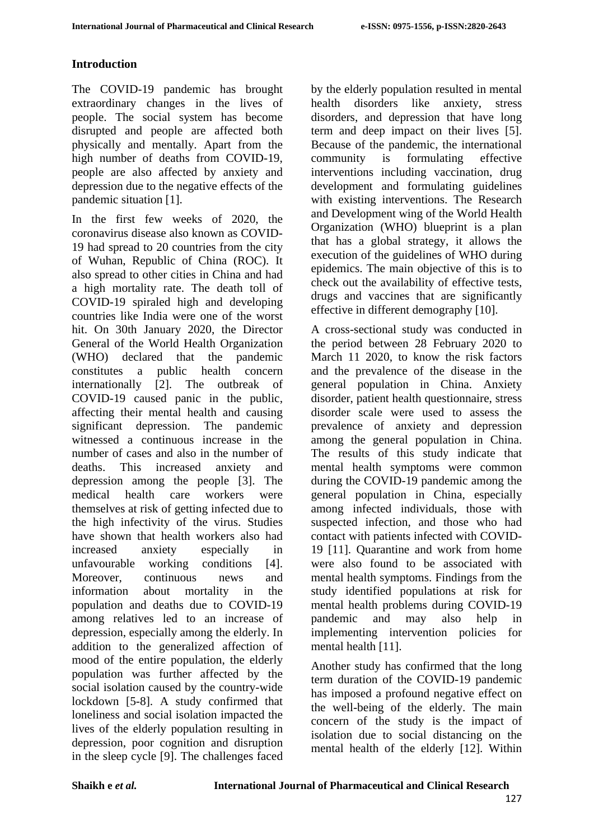### **Introduction**

The COVID-19 pandemic has brought extraordinary changes in the lives of people. The social system has become disrupted and people are affected both physically and mentally. Apart from the high number of deaths from COVID-19, people are also affected by anxiety and depression due to the negative effects of the pandemic situation [1].

In the first few weeks of 2020, the coronavirus disease also known as COVID-19 had spread to 20 countries from the city of Wuhan, Republic of China (ROC). It also spread to other cities in China and had a high mortality rate. The death toll of COVID-19 spiraled high and developing countries like India were one of the worst hit. On 30th January 2020, the Director General of the World Health Organization (WHO) declared that the pandemic constitutes a public health concern internationally [2]. The outbreak of COVID-19 caused panic in the public, affecting their mental health and causing significant depression. The pandemic witnessed a continuous increase in the number of cases and also in the number of deaths. This increased anxiety and depression among the people [3]. The medical health care workers were themselves at risk of getting infected due to the high infectivity of the virus. Studies have shown that health workers also had increased anxiety especially in unfavourable working conditions [4]. Moreover, continuous news and information about mortality in the population and deaths due to COVID-19 among relatives led to an increase of depression, especially among the elderly. In addition to the generalized affection of mood of the entire population, the elderly population was further affected by the social isolation caused by the country-wide lockdown [5-8]. A study confirmed that loneliness and social isolation impacted the lives of the elderly population resulting in depression, poor cognition and disruption in the sleep cycle [9]. The challenges faced

by the elderly population resulted in mental health disorders like anxiety, stress disorders, and depression that have long term and deep impact on their lives [5]. Because of the pandemic, the international community is formulating effective interventions including vaccination, drug development and formulating guidelines with existing interventions. The Research and Development wing of the World Health Organization (WHO) blueprint is a plan that has a global strategy, it allows the execution of the guidelines of WHO during epidemics. The main objective of this is to check out the availability of effective tests, drugs and vaccines that are significantly effective in different demography [10].

A cross-sectional study was conducted in the period between 28 February 2020 to March 11 2020, to know the risk factors and the prevalence of the disease in the general population in China. Anxiety disorder, patient health questionnaire, stress disorder scale were used to assess the prevalence of anxiety and depression among the general population in China. The results of this study indicate that mental health symptoms were common during the COVID-19 pandemic among the general population in China, especially among infected individuals, those with suspected infection, and those who had contact with patients infected with COVID-19 [11]. Quarantine and work from home were also found to be associated with mental health symptoms. Findings from the study identified populations at risk for mental health problems during COVID-19 pandemic and may also help in implementing intervention policies for mental health [11].

Another study has confirmed that the long term duration of the COVID-19 pandemic has imposed a profound negative effect on the well-being of the elderly. The main concern of the study is the impact of isolation due to social distancing on the mental health of the elderly [12]. Within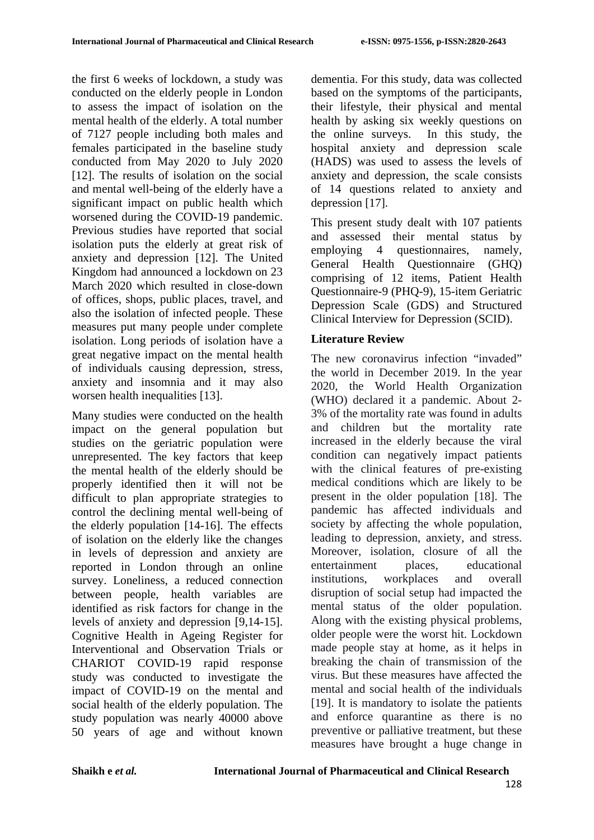the first 6 weeks of lockdown, a study was conducted on the elderly people in London to assess the impact of isolation on the mental health of the elderly. A total number of 7127 people including both males and females participated in the baseline study conducted from May 2020 to July 2020 [12]. The results of isolation on the social and mental well-being of the elderly have a significant impact on public health which worsened during the COVID-19 pandemic. Previous studies have reported that social isolation puts the elderly at great risk of anxiety and depression [12]. The United Kingdom had announced a lockdown on 23 March 2020 which resulted in close-down of offices, shops, public places, travel, and also the isolation of infected people. These measures put many people under complete isolation. Long periods of isolation have a great negative impact on the mental health of individuals causing depression, stress, anxiety and insomnia and it may also worsen health inequalities [13].

Many studies were conducted on the health impact on the general population but studies on the geriatric population were unrepresented. The key factors that keep the mental health of the elderly should be properly identified then it will not be difficult to plan appropriate strategies to control the declining mental well-being of the elderly population [14-16]. The effects of isolation on the elderly like the changes in levels of depression and anxiety are reported in London through an online survey. Loneliness, a reduced connection between people, health variables are identified as risk factors for change in the levels of anxiety and depression [9,14-15]. Cognitive Health in Ageing Register for Interventional and Observation Trials or CHARIOT COVID-19 rapid response study was conducted to investigate the impact of COVID-19 on the mental and social health of the elderly population. The study population was nearly 40000 above 50 years of age and without known

dementia. For this study, data was collected based on the symptoms of the participants, their lifestyle, their physical and mental health by asking six weekly questions on the online surveys. In this study, the hospital anxiety and depression scale (HADS) was used to assess the levels of anxiety and depression, the scale consists of 14 questions related to anxiety and depression [17].

This present study dealt with 107 patients and assessed their mental status by employing 4 questionnaires, namely, General Health Questionnaire (GHQ) comprising of 12 items, Patient Health Questionnaire-9 (PHQ-9), 15-item Geriatric Depression Scale (GDS) and Structured Clinical Interview for Depression (SCID).

### **Literature Review**

The new coronavirus infection "invaded" the world in December 2019. In the year 2020, the World Health Organization (WHO) declared it a pandemic. About 2- 3% of the mortality rate was found in adults and children but the mortality rate increased in the elderly because the viral condition can negatively impact patients with the clinical features of pre-existing medical conditions which are likely to be present in the older population [18]. The pandemic has affected individuals and society by affecting the whole population, leading to depression, anxiety, and stress. Moreover, isolation, closure of all the entertainment places, educational institutions, workplaces and overall disruption of social setup had impacted the mental status of the older population. Along with the existing physical problems, older people were the worst hit. Lockdown made people stay at home, as it helps in breaking the chain of transmission of the virus. But these measures have affected the mental and social health of the individuals [19]. It is mandatory to isolate the patients and enforce quarantine as there is no preventive or palliative treatment, but these measures have brought a huge change in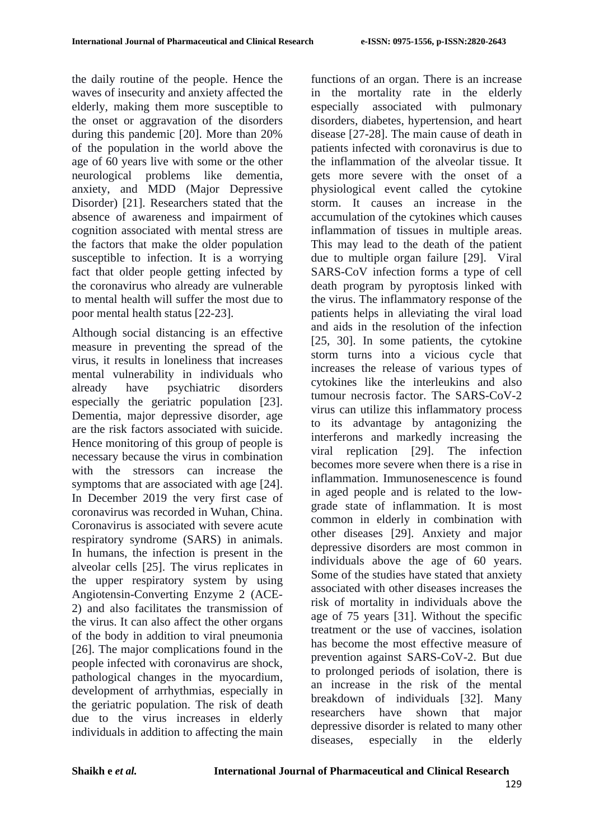the daily routine of the people. Hence the waves of insecurity and anxiety affected the elderly, making them more susceptible to the onset or aggravation of the disorders during this pandemic [20]. More than 20% of the population in the world above the age of 60 years live with some or the other neurological problems like dementia, anxiety, and MDD (Major Depressive Disorder) [21]. Researchers stated that the absence of awareness and impairment of cognition associated with mental stress are the factors that make the older population susceptible to infection. It is a worrying fact that older people getting infected by the coronavirus who already are vulnerable to mental health will suffer the most due to poor mental health status [22-23].

Although social distancing is an effective measure in preventing the spread of the virus, it results in loneliness that increases mental vulnerability in individuals who already have psychiatric disorders especially the geriatric population [23]. Dementia, major depressive disorder, age are the risk factors associated with suicide. Hence monitoring of this group of people is necessary because the virus in combination with the stressors can increase the symptoms that are associated with age [24]. In December 2019 the very first case of coronavirus was recorded in Wuhan, China. Coronavirus is associated with severe acute respiratory syndrome (SARS) in animals. In humans, the infection is present in the alveolar cells [25]. The virus replicates in the upper respiratory system by using Angiotensin-Converting Enzyme 2 (ACE-2) and also facilitates the transmission of the virus. It can also affect the other organs of the body in addition to viral pneumonia [26]. The major complications found in the people infected with coronavirus are shock, pathological changes in the myocardium, development of arrhythmias, especially in the geriatric population. The risk of death due to the virus increases in elderly individuals in addition to affecting the main

functions of an organ. There is an increase in the mortality rate in the elderly especially associated with pulmonary disorders, diabetes, hypertension, and heart disease [27-28]. The main cause of death in patients infected with coronavirus is due to the inflammation of the alveolar tissue. It gets more severe with the onset of a physiological event called the cytokine storm. It causes an increase in the accumulation of the cytokines which causes inflammation of tissues in multiple areas. This may lead to the death of the patient due to multiple organ failure [29]. Viral SARS-CoV infection forms a type of cell death program by pyroptosis linked with the virus. The inflammatory response of the patients helps in alleviating the viral load and aids in the resolution of the infection [25, 30]. In some patients, the cytokine storm turns into a vicious cycle that increases the release of various types of cytokines like the interleukins and also tumour necrosis factor. The SARS-CoV-2 virus can utilize this inflammatory process to its advantage by antagonizing the interferons and markedly increasing the viral replication [29]. The infection becomes more severe when there is a rise in inflammation. Immunosenescence is found in aged people and is related to the lowgrade state of inflammation. It is most common in elderly in combination with other diseases [29]. Anxiety and major depressive disorders are most common in individuals above the age of 60 years. Some of the studies have stated that anxiety associated with other diseases increases the risk of mortality in individuals above the age of 75 years [31]. Without the specific treatment or the use of vaccines, isolation has become the most effective measure of prevention against SARS-CoV-2. But due to prolonged periods of isolation, there is an increase in the risk of the mental breakdown of individuals [32]. Many researchers have shown that major depressive disorder is related to many other diseases, especially in the elderly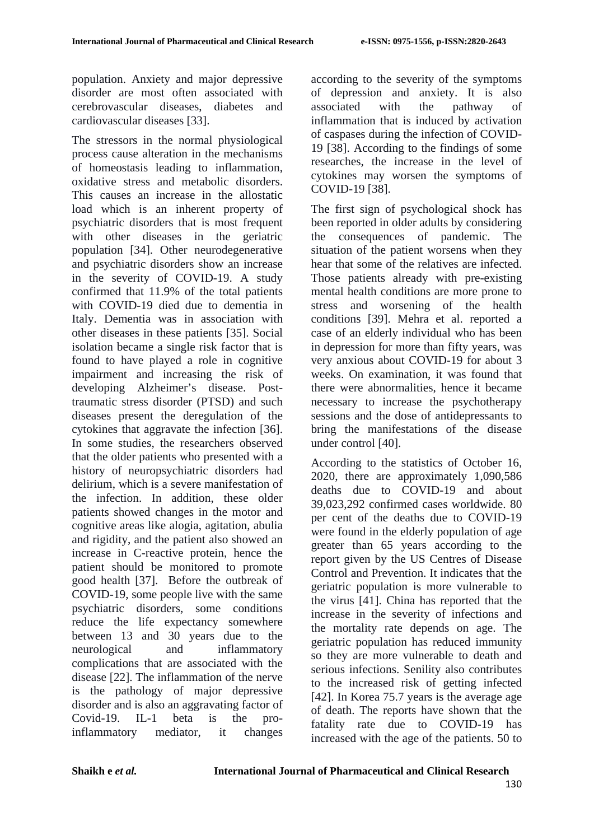population. Anxiety and major depressive disorder are most often associated with cerebrovascular diseases, diabetes and cardiovascular diseases [33].

The stressors in the normal physiological process cause alteration in the mechanisms of homeostasis leading to inflammation, oxidative stress and metabolic disorders. This causes an increase in the allostatic load which is an inherent property of psychiatric disorders that is most frequent with other diseases in the geriatric population [34]. Other neurodegenerative and psychiatric disorders show an increase in the severity of COVID-19. A study confirmed that 11.9% of the total patients with COVID-19 died due to dementia in Italy. Dementia was in association with other diseases in these patients [35]. Social isolation became a single risk factor that is found to have played a role in cognitive impairment and increasing the risk of developing Alzheimer's disease. Posttraumatic stress disorder (PTSD) and such diseases present the deregulation of the cytokines that aggravate the infection [36]. In some studies, the researchers observed that the older patients who presented with a history of neuropsychiatric disorders had delirium, which is a severe manifestation of the infection. In addition, these older patients showed changes in the motor and cognitive areas like alogia, agitation, abulia and rigidity, and the patient also showed an increase in C-reactive protein, hence the patient should be monitored to promote good health [37]. Before the outbreak of COVID-19, some people live with the same psychiatric disorders, some conditions reduce the life expectancy somewhere between 13 and 30 years due to the neurological and inflammatory complications that are associated with the disease [22]. The inflammation of the nerve is the pathology of major depressive disorder and is also an aggravating factor of Covid-19. IL-1 beta is the proinflammatory mediator, it changes

according to the severity of the symptoms of depression and anxiety. It is also associated with the pathway of inflammation that is induced by activation of caspases during the infection of COVID-19 [38]. According to the findings of some researches, the increase in the level of cytokines may worsen the symptoms of COVID-19 [38].

The first sign of psychological shock has been reported in older adults by considering the consequences of pandemic. The situation of the patient worsens when they hear that some of the relatives are infected. Those patients already with pre-existing mental health conditions are more prone to stress and worsening of the health conditions [39]. Mehra et al. reported a case of an elderly individual who has been in depression for more than fifty years, was very anxious about COVID-19 for about 3 weeks. On examination, it was found that there were abnormalities, hence it became necessary to increase the psychotherapy sessions and the dose of antidepressants to bring the manifestations of the disease under control [40].

According to the statistics of October 16, 2020, there are approximately 1,090,586 deaths due to COVID-19 and about 39,023,292 confirmed cases worldwide. 80 per cent of the deaths due to COVID-19 were found in the elderly population of age greater than 65 years according to the report given by the US Centres of Disease Control and Prevention. It indicates that the geriatric population is more vulnerable to the virus [41]. China has reported that the increase in the severity of infections and the mortality rate depends on age. The geriatric population has reduced immunity so they are more vulnerable to death and serious infections. Senility also contributes to the increased risk of getting infected [42]. In Korea 75.7 years is the average age of death. The reports have shown that the fatality rate due to COVID-19 has increased with the age of the patients. 50 to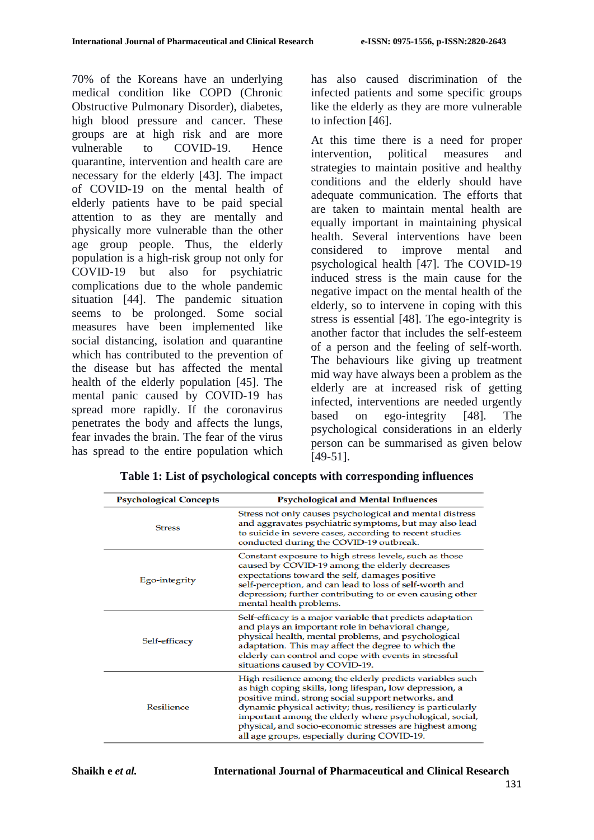70% of the Koreans have an underlying medical condition like COPD (Chronic Obstructive Pulmonary Disorder), diabetes, high blood pressure and cancer. These groups are at high risk and are more<br>vulnerable to COVID-19. Hence to COVID-19. Hence quarantine, intervention and health care are necessary for the elderly [43]. The impact of COVID-19 on the mental health of elderly patients have to be paid special attention to as they are mentally and physically more vulnerable than the other age group people. Thus, the elderly population is a high-risk group not only for COVID-19 but also for psychiatric complications due to the whole pandemic situation [44]. The pandemic situation seems to be prolonged. Some social measures have been implemented like social distancing, isolation and quarantine which has contributed to the prevention of the disease but has affected the mental health of the elderly population [45]. The mental panic caused by COVID-19 has spread more rapidly. If the coronavirus penetrates the body and affects the lungs, fear invades the brain. The fear of the virus has spread to the entire population which

has also caused discrimination of the infected patients and some specific groups like the elderly as they are more vulnerable to infection [46].

At this time there is a need for proper intervention, political measures and strategies to maintain positive and healthy conditions and the elderly should have adequate communication. The efforts that are taken to maintain mental health are equally important in maintaining physical health. Several interventions have been considered to improve mental and psychological health [47]. The COVID-19 induced stress is the main cause for the negative impact on the mental health of the elderly, so to intervene in coping with this stress is essential [48]. The ego-integrity is another factor that includes the self-esteem of a person and the feeling of self-worth. The behaviours like giving up treatment mid way have always been a problem as the elderly are at increased risk of getting infected, interventions are needed urgently based on ego-integrity [48]. The psychological considerations in an elderly person can be summarised as given below [49-51].

| <b>Psychological Concepts</b> | <b>Psychological and Mental Influences</b>                                                                                                                                                                                                                                                                                                                                                                      |  |
|-------------------------------|-----------------------------------------------------------------------------------------------------------------------------------------------------------------------------------------------------------------------------------------------------------------------------------------------------------------------------------------------------------------------------------------------------------------|--|
| <b>Stress</b>                 | Stress not only causes psychological and mental distress<br>and aggravates psychiatric symptoms, but may also lead<br>to suicide in severe cases, according to recent studies<br>conducted during the COVID-19 outbreak.                                                                                                                                                                                        |  |
| Ego-integrity                 | Constant exposure to high stress levels, such as those<br>caused by COVID-19 among the elderly decreases<br>expectations toward the self, damages positive<br>self-perception, and can lead to loss of self-worth and<br>depression; further contributing to or even causing other<br>mental health problems.                                                                                                   |  |
| Self-efficacy                 | Self-efficacy is a major variable that predicts adaptation<br>and plays an important role in behavioral change,<br>physical health, mental problems, and psychological<br>adaptation. This may affect the degree to which the<br>elderly can control and cope with events in stressful<br>situations caused by COVID-19.                                                                                        |  |
| <b>Resilience</b>             | High resilience among the elderly predicts variables such<br>as high coping skills, long lifespan, low depression, a<br>positive mind, strong social support networks, and<br>dynamic physical activity; thus, resiliency is particularly<br>important among the elderly where psychological, social,<br>physical, and socio-economic stresses are highest among<br>all age groups, especially during COVID-19. |  |

**Table 1: List of psychological concepts with corresponding influences**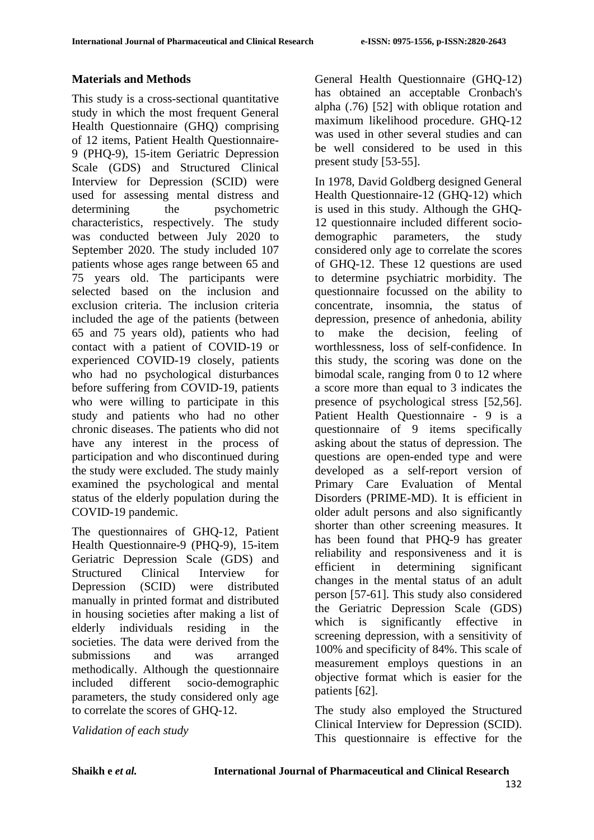### **Materials and Methods**

This study is a cross-sectional quantitative study in which the most frequent General Health Questionnaire (GHQ) comprising of 12 items, Patient Health Questionnaire-9 (PHQ-9), 15-item Geriatric Depression Scale (GDS) and Structured Clinical Interview for Depression (SCID) were used for assessing mental distress and determining the psychometric characteristics, respectively. The study was conducted between July 2020 to September 2020. The study included 107 patients whose ages range between 65 and 75 years old. The participants were selected based on the inclusion and exclusion criteria. The inclusion criteria included the age of the patients (between 65 and 75 years old), patients who had contact with a patient of COVID-19 or experienced COVID-19 closely, patients who had no psychological disturbances before suffering from COVID-19, patients who were willing to participate in this study and patients who had no other chronic diseases. The patients who did not have any interest in the process of participation and who discontinued during the study were excluded. The study mainly examined the psychological and mental status of the elderly population during the COVID-19 pandemic.

The questionnaires of GHQ-12, Patient Health Questionnaire-9 (PHQ-9), 15-item Geriatric Depression Scale (GDS) and Structured Clinical Interview for Depression (SCID) were distributed manually in printed format and distributed in housing societies after making a list of elderly individuals residing in the societies. The data were derived from the submissions and was arranged methodically. Although the questionnaire included different socio-demographic parameters, the study considered only age to correlate the scores of GHQ-12.

*Validation of each study*

General Health Questionnaire (GHQ-12) has obtained an acceptable Cronbach's alpha (.76) [52] with oblique rotation and maximum likelihood procedure. GHQ-12 was used in other several studies and can be well considered to be used in this present study [53-55].

In 1978, David Goldberg designed General Health Questionnaire-12 (GHQ-12) which is used in this study. Although the GHQ-12 questionnaire included different sociodemographic parameters, the study considered only age to correlate the scores of GHQ-12. These 12 questions are used to determine psychiatric morbidity. The questionnaire focussed on the ability to concentrate, insomnia, the status of depression, presence of anhedonia, ability to make the decision, feeling of worthlessness, loss of self-confidence. In this study, the scoring was done on the bimodal scale, ranging from 0 to 12 where a score more than equal to 3 indicates the presence of psychological stress [52,56]. Patient Health Questionnaire - 9 is a questionnaire of 9 items specifically asking about the status of depression. The questions are open-ended type and were developed as a self-report version of Primary Care Evaluation of Mental Disorders (PRIME-MD). It is efficient in older adult persons and also significantly shorter than other screening measures. It has been found that PHQ-9 has greater reliability and responsiveness and it is efficient in determining significant changes in the mental status of an adult person [57-61]. This study also considered the Geriatric Depression Scale (GDS) which is significantly effective in screening depression, with a sensitivity of 100% and specificity of 84%. This scale of measurement employs questions in an objective format which is easier for the patients [62].

The study also employed the Structured Clinical Interview for Depression (SCID). This questionnaire is effective for the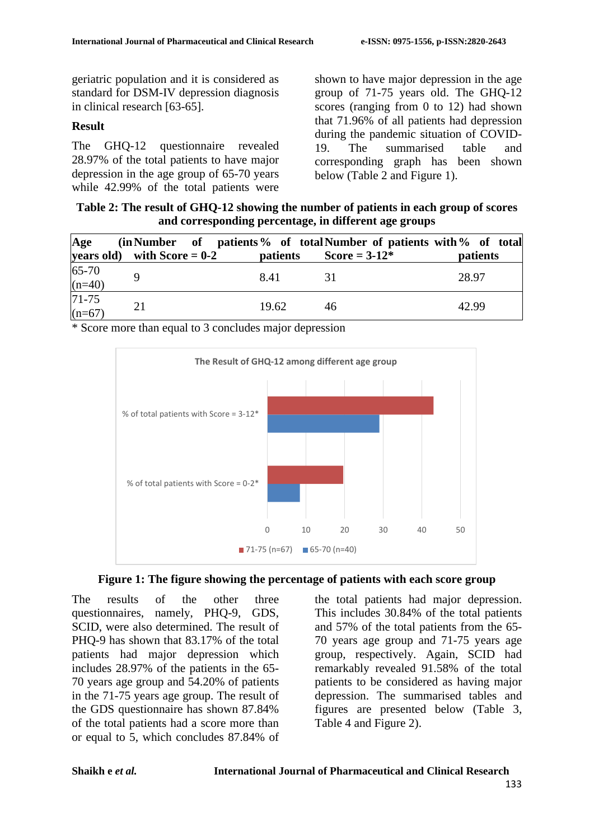geriatric population and it is considered as standard for DSM-IV depression diagnosis in clinical research [63-65].

### **Result**

The GHQ-12 questionnaire revealed 28.97% of the total patients to have major depression in the age group of 65-70 years while 42.99% of the total patients were

shown to have major depression in the age group of 71-75 years old. The GHQ-12 scores (ranging from 0 to 12) had shown that 71.96% of all patients had depression during the pandemic situation of COVID-19. The summarised table and corresponding graph has been shown below (Table 2 and Figure 1).

**Table 2: The result of GHQ-12 showing the number of patients in each group of scores and corresponding percentage, in different age groups**

| Age                   | (in Number of patients % of total Number of patients with % of total |                 |                         |                 |
|-----------------------|----------------------------------------------------------------------|-----------------|-------------------------|-----------------|
| years old)            | with Score $= 0-2$                                                   | <i>patients</i> | <b>Score</b> = $3-12^*$ | <i>patients</i> |
| $65-70$<br>(n=40)     |                                                                      | 8.41            |                         | 28.97           |
| $71 - 75$<br>$(n=67)$ | 21                                                                   | 19.62           | 46                      | 42.99           |

\* Score more than equal to 3 concludes major depression





The results of the other three questionnaires, namely, PHQ-9, GDS, SCID, were also determined. The result of PHQ-9 has shown that 83.17% of the total patients had major depression which includes 28.97% of the patients in the 65- 70 years age group and 54.20% of patients in the 71-75 years age group. The result of the GDS questionnaire has shown 87.84% of the total patients had a score more than or equal to 5, which concludes 87.84% of the total patients had major depression. This includes 30.84% of the total patients and 57% of the total patients from the 65- 70 years age group and 71-75 years age group, respectively. Again, SCID had remarkably revealed 91.58% of the total patients to be considered as having major depression. The summarised tables and figures are presented below (Table 3, Table 4 and Figure 2).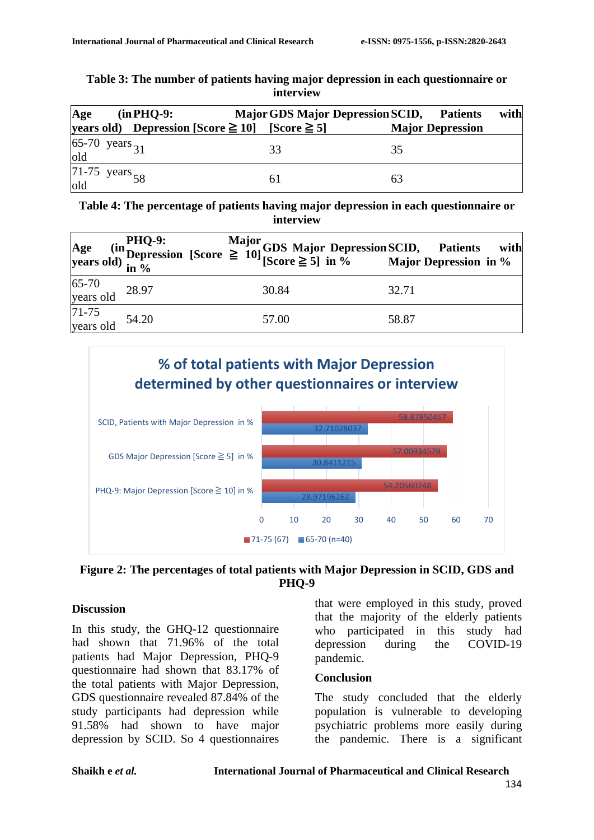| Table 3: The number of patients having major depression in each questionnaire or |  |
|----------------------------------------------------------------------------------|--|
| interview                                                                        |  |

| Age | $(in PHQ-9)$ :                           | <b>Major GDS Major Depression SCID,</b> | <b>Patients</b>         | with |
|-----|------------------------------------------|-----------------------------------------|-------------------------|------|
|     | years old) Depression [Score $\geq 10$ ] | $[Score \geq 5]$                        | <b>Major Depression</b> |      |
| old | 65-70 years $_{31}$                      | 33                                      | 35                      |      |
| old | 71-75 years $58$                         |                                         | 63                      |      |

**Table 4: The percentage of patients having major depression in each questionnaire or interview**

|                              |  |       | Age (in PHQ-9: Major GDS Major Depression SCID, Patients with<br>years old) in % (Score $\geq 10$ ] [Score $\geq 5$ ] in % Major Depression in % |
|------------------------------|--|-------|--------------------------------------------------------------------------------------------------------------------------------------------------|
| 65-70<br>years old 28.97     |  | 30.84 | 32.71                                                                                                                                            |
| $71-75$<br>years old $54.20$ |  | 57.00 | 58.87                                                                                                                                            |



#### **Figure 2: The percentages of total patients with Major Depression in SCID, GDS and PHQ-9**

### **Discussion**

In this study, the GHQ-12 questionnaire had shown that 71.96% of the total patients had Major Depression, PHQ-9 questionnaire had shown that 83.17% of the total patients with Major Depression, GDS questionnaire revealed 87.84% of the study participants had depression while 91.58% had shown to have major depression by SCID. So 4 questionnaires

that were employed in this study, proved that the majority of the elderly patients who participated in this study had depression during the COVID-19 pandemic.

#### **Conclusion**

The study concluded that the elderly population is vulnerable to developing psychiatric problems more easily during the pandemic. There is a significant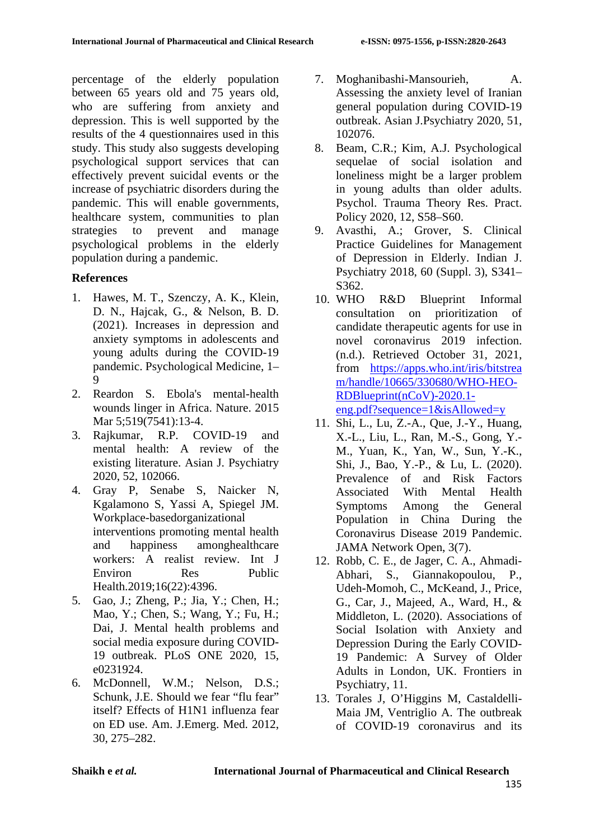percentage of the elderly population between 65 years old and 75 years old, who are suffering from anxiety and depression. This is well supported by the results of the 4 questionnaires used in this study. This study also suggests developing psychological support services that can effectively prevent suicidal events or the increase of psychiatric disorders during the pandemic. This will enable governments, healthcare system, communities to plan strategies to prevent and manage psychological problems in the elderly population during a pandemic.

### **References**

- 1. Hawes, M. T., Szenczy, A. K., Klein, D. N., Hajcak, G., & Nelson, B. D. (2021). Increases in depression and anxiety symptoms in adolescents and young adults during the COVID-19 pandemic. Psychological Medicine, 1– 9
- 2. Reardon S. Ebola's mental-health wounds linger in Africa. Nature. 2015 Mar 5;519(7541):13-4.
- 3. Rajkumar, R.P. COVID-19 and mental health: A review of the existing literature. Asian J. Psychiatry 2020, 52, 102066.
- 4. Gray P, Senabe S, Naicker N, Kgalamono S, Yassi A, Spiegel JM. Workplace-basedorganizational interventions promoting mental health and happiness amonghealthcare workers: A realist review. Int J Environ Res Public Health.2019;16(22):4396.
- 5. Gao, J.; Zheng, P.; Jia, Y.; Chen, H.; Mao, Y.; Chen, S.; Wang, Y.; Fu, H.; Dai, J. Mental health problems and social media exposure during COVID-19 outbreak. PLoS ONE 2020, 15, e0231924.
- 6. McDonnell, W.M.; Nelson, D.S.; Schunk, J.E. Should we fear "flu fear" itself? Effects of H1N1 influenza fear on ED use. Am. J.Emerg. Med. 2012, 30, 275–282.
- 7. Moghanibashi-Mansourieh, A. Assessing the anxiety level of Iranian general population during COVID-19 outbreak. Asian J.Psychiatry 2020, 51, 102076.
- 8. Beam, C.R.; Kim, A.J. Psychological sequelae of social isolation and loneliness might be a larger problem in young adults than older adults. Psychol. Trauma Theory Res. Pract. Policy 2020, 12, S58–S60.
- 9. Avasthi, A.; Grover, S. Clinical Practice Guidelines for Management of Depression in Elderly. Indian J. Psychiatry 2018, 60 (Suppl. 3), S341– S362.
- 10. WHO R&D Blueprint Informal consultation on prioritization of candidate therapeutic agents for use in novel coronavirus 2019 infection. (n.d.). Retrieved October 31, 2021, from [https://apps.who.int/iris/bitstrea](https://apps.who.int/iris/bitstrea%20m/handle/10665/330680/WHO-HEO-RDBlueprint(nCoV)-2020.1-eng.pdf?sequence=1&isAllowed=y)  [m/handle/10665/330680/WHO-HEO-](https://apps.who.int/iris/bitstrea%20m/handle/10665/330680/WHO-HEO-RDBlueprint(nCoV)-2020.1-eng.pdf?sequence=1&isAllowed=y)[RDBlueprint\(nCoV\)-2020.1](https://apps.who.int/iris/bitstrea%20m/handle/10665/330680/WHO-HEO-RDBlueprint(nCoV)-2020.1-eng.pdf?sequence=1&isAllowed=y) [eng.pdf?sequence=1&isAllowed=y](https://apps.who.int/iris/bitstrea%20m/handle/10665/330680/WHO-HEO-RDBlueprint(nCoV)-2020.1-eng.pdf?sequence=1&isAllowed=y)
- 11. Shi, L., Lu, Z.-A., Que, J.-Y., Huang, X.-L., Liu, L., Ran, M.-S., Gong, Y.- M., Yuan, K., Yan, W., Sun, Y.-K., Shi, J., Bao, Y.-P., & Lu, L. (2020). Prevalence of and Risk Factors Associated With Mental Health Symptoms Among the General Population in China During the Coronavirus Disease 2019 Pandemic. JAMA Network Open, 3(7).
- 12. Robb, C. E., de Jager, C. A., Ahmadi-Abhari, S., Giannakopoulou, P., Udeh-Momoh, C., McKeand, J., Price, G., Car, J., Majeed, A., Ward, H., & Middleton, L. (2020). Associations of Social Isolation with Anxiety and Depression During the Early COVID-19 Pandemic: A Survey of Older Adults in London, UK. Frontiers in Psychiatry, 11.
- 13. Torales J, O'Higgins M, Castaldelli-Maia JM, Ventriglio A. The outbreak of COVID-19 coronavirus and its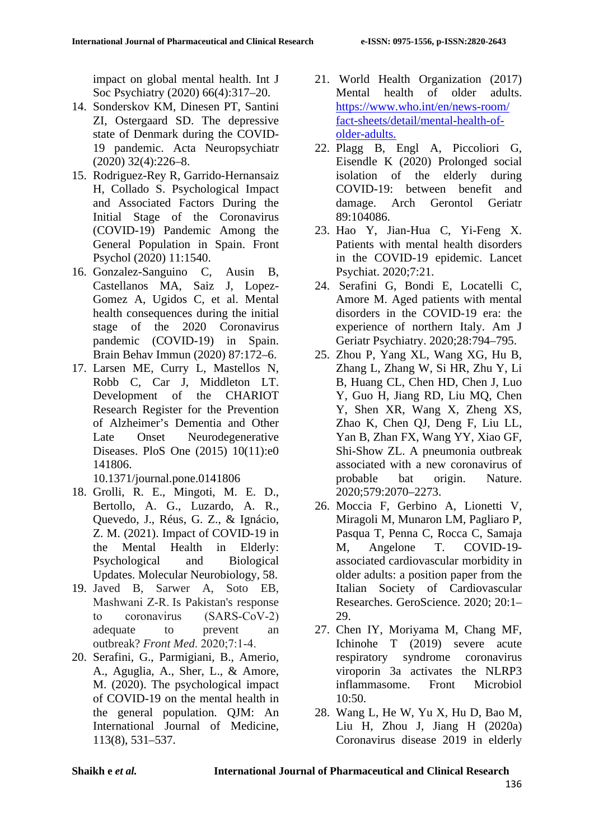impact on global mental health. Int J Soc Psychiatry (2020) 66(4):317–20.

- 14. Sonderskov KM, Dinesen PT, Santini ZI, Ostergaard SD. The depressive state of Denmark during the COVID-19 pandemic. Acta Neuropsychiatr (2020) 32(4):226–8.
- 15. Rodriguez-Rey R, Garrido-Hernansaiz H, Collado S. Psychological Impact and Associated Factors During the Initial Stage of the Coronavirus (COVID-19) Pandemic Among the General Population in Spain. Front Psychol (2020) 11:1540.
- 16. Gonzalez-Sanguino C, Ausin B, Castellanos MA, Saiz J, Lopez-Gomez A, Ugidos C, et al. Mental health consequences during the initial stage of the 2020 Coronavirus pandemic (COVID-19) in Spain. Brain Behav Immun (2020) 87:172–6.
- 17. Larsen ME, Curry L, Mastellos N, Robb C, Car J, Middleton LT. Development of the CHARIOT Research Register for the Prevention of Alzheimer's Dementia and Other Late Onset Neurodegenerative Diseases. PloS One (2015) 10(11):e0 141806.

10.1371/journal.pone.0141806

- 18. Grolli, R. E., Mingoti, M. E. D., Bertollo, A. G., Luzardo, A. R., Quevedo, J., Réus, G. Z., & Ignácio, Z. M. (2021). Impact of COVID-19 in the Mental Health in Elderly: Psychological and Biological Updates. Molecular Neurobiology, 58.
- 19. Javed B, Sarwer A, Soto EB, Mashwani Z‐R. Is Pakistan's response to coronavirus (SARS‐CoV‐2) adequate to prevent an outbreak? *Front Med*. 2020;7:1‐4.
- 20. Serafini, G., Parmigiani, B., Amerio, A., Aguglia, A., Sher, L., & Amore, M. (2020). The psychological impact of COVID-19 on the mental health in the general population. QJM: An International Journal of Medicine, 113(8), 531–537.
- 21. World Health Organization (2017) Mental health of older adults. [https://www.who.int/en/news-room/](https://www.who.int/en/news-room/%20fact-sheets/detail/mental-health-of-older-adults.)  [fact-sheets/detail/mental-health-of](https://www.who.int/en/news-room/%20fact-sheets/detail/mental-health-of-older-adults.)[older-adults.](https://www.who.int/en/news-room/%20fact-sheets/detail/mental-health-of-older-adults.)
- 22. Plagg B, Engl A, Piccoliori G, Eisendle K (2020) Prolonged social isolation of the elderly during COVID-19: between benefit and damage. Arch Gerontol Geriatr 89:104086.
- 23. Hao Y, Jian-Hua C, Yi-Feng X. Patients with mental health disorders in the COVID-19 epidemic. Lancet Psychiat. 2020;7:21.
- 24. Serafini G, Bondi E, Locatelli C, Amore M. Aged patients with mental disorders in the COVID-19 era: the experience of northern Italy. Am J Geriatr Psychiatry. 2020;28:794–795.
- 25. Zhou P, Yang XL, Wang XG, Hu B, Zhang L, Zhang W, Si HR, Zhu Y, Li B, Huang CL, Chen HD, Chen J, Luo Y, Guo H, Jiang RD, Liu MQ, Chen Y, Shen XR, Wang X, Zheng XS, Zhao K, Chen QJ, Deng F, Liu LL, Yan B, Zhan FX, Wang YY, Xiao GF, Shi-Show ZL. A pneumonia outbreak associated with a new coronavirus of probable bat origin. Nature. 2020;579:2070–2273.
- 26. Moccia F, Gerbino A, Lionetti V, Miragoli M, Munaron LM, Pagliaro P, Pasqua T, Penna C, Rocca C, Samaja M, Angelone T. COVID-19 associated cardiovascular morbidity in older adults: a position paper from the Italian Society of Cardiovascular Researches. GeroScience. 2020; 20:1– 29.
- 27. Chen IY, Moriyama M, Chang MF, Ichinohe T (2019) severe acute respiratory syndrome coronavirus viroporin 3a activates the NLRP3 inflammasome. Front Microbiol 10:50.
- 28. Wang L, He W, Yu X, Hu D, Bao M, Liu H, Zhou J, Jiang H (2020a) Coronavirus disease 2019 in elderly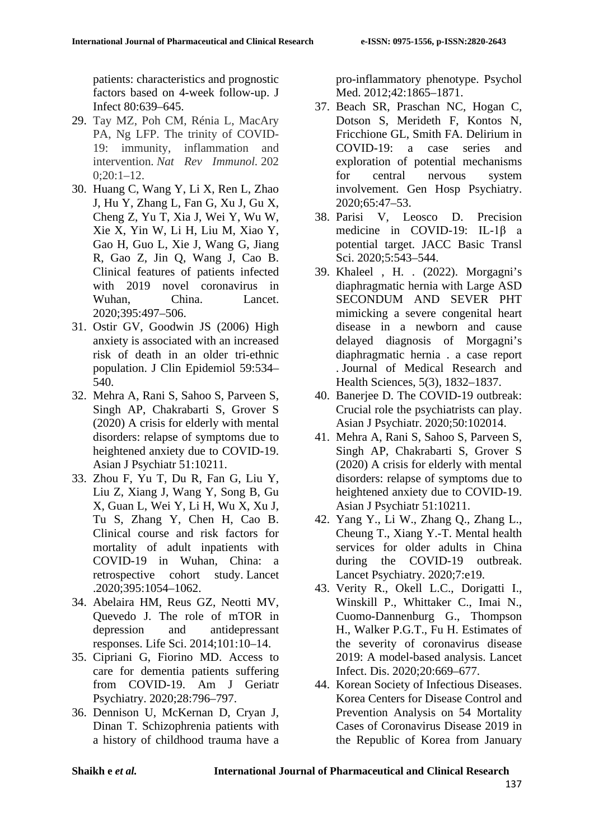patients: characteristics and prognostic factors based on 4-week follow-up. J Infect 80:639–645.

- 29. Tay MZ, Poh CM, Rénia L, MacAry PA, Ng LFP. The trinity of COVID-19: immunity, inflammation and intervention. *Nat Rev Immunol.* 202  $0:20:1-12.$
- 30. Huang C, Wang Y, Li X, Ren L, Zhao J, Hu Y, Zhang L, Fan G, Xu J, Gu X, Cheng Z, Yu T, Xia J, Wei Y, Wu W, Xie X, Yin W, Li H, Liu M, Xiao Y, Gao H, Guo L, Xie J, Wang G, Jiang R, Gao Z, Jin Q, Wang J, Cao B. Clinical features of patients infected with 2019 novel coronavirus in Wuhan, China. Lancet. 2020;395:497–506.
- 31. Ostir GV, Goodwin JS (2006) High anxiety is associated with an increased risk of death in an older tri-ethnic population. J Clin Epidemiol 59:534– 540.
- 32. Mehra A, Rani S, Sahoo S, Parveen S, Singh AP, Chakrabarti S, Grover S (2020) A crisis for elderly with mental disorders: relapse of symptoms due to heightened anxiety due to COVID-19. Asian J Psychiatr 51:10211.
- 33. Zhou F, Yu T, Du R, Fan G, Liu Y, Liu Z, Xiang J, Wang Y, Song B, Gu X, Guan L, Wei Y, Li H, Wu X, Xu J, Tu S, Zhang Y, Chen H, Cao B. Clinical course and risk factors for mortality of adult inpatients with COVID-19 in Wuhan, China: a retrospective cohort study. Lancet .2020;395:1054–1062.
- 34. Abelaira HM, Reus GZ, Neotti MV, Quevedo J. The role of mTOR in depression and antidepressant responses. Life Sci. 2014;101:10–14.
- 35. Cipriani G, Fiorino MD. Access to care for dementia patients suffering from COVID-19. Am J Geriatr Psychiatry. 2020;28:796–797.
- 36. Dennison U, McKernan D, Cryan J, Dinan T. Schizophrenia patients with a history of childhood trauma have a

pro-inflammatory phenotype. Psychol Med. 2012;42:1865–1871.

- 37. Beach SR, Praschan NC, Hogan C, Dotson S, Merideth F, Kontos N, Fricchione GL, Smith FA. Delirium in COVID-19: a case series and exploration of potential mechanisms for central nervous system involvement. Gen Hosp Psychiatry. 2020;65:47–53.
- 38. Parisi V, Leosco D. Precision medicine in COVID-19: IL-1β a potential target. JACC Basic Transl Sci. 2020;5:543–544.
- 39. Khaleel , H. . (2022). Morgagni's diaphragmatic hernia with Large ASD SECONDUM AND SEVER PHT mimicking a severe congenital heart disease in a newborn and cause delayed diagnosis of Morgagni's diaphragmatic hernia . a case report . Journal of Medical Research and Health Sciences, 5(3), 1832–1837.
- 40. Banerjee D. The COVID-19 outbreak: Crucial role the psychiatrists can play. Asian J Psychiatr. 2020;50:102014.
- 41. Mehra A, Rani S, Sahoo S, Parveen S, Singh AP, Chakrabarti S, Grover S (2020) A crisis for elderly with mental disorders: relapse of symptoms due to heightened anxiety due to COVID-19. Asian J Psychiatr 51:10211.
- 42. Yang Y., Li W., Zhang Q., Zhang L., Cheung T., Xiang Y.-T. Mental health services for older adults in China during the COVID-19 outbreak. Lancet Psychiatry. 2020;7:e19.
- 43. Verity R., Okell L.C., Dorigatti I., Winskill P., Whittaker C., Imai N., Cuomo-Dannenburg G., Thompson H., Walker P.G.T., Fu H. Estimates of the severity of coronavirus disease 2019: A model-based analysis. Lancet Infect. Dis. 2020;20:669–677.
- 44. Korean Society of Infectious Diseases. Korea Centers for Disease Control and Prevention Analysis on 54 Mortality Cases of Coronavirus Disease 2019 in the Republic of Korea from January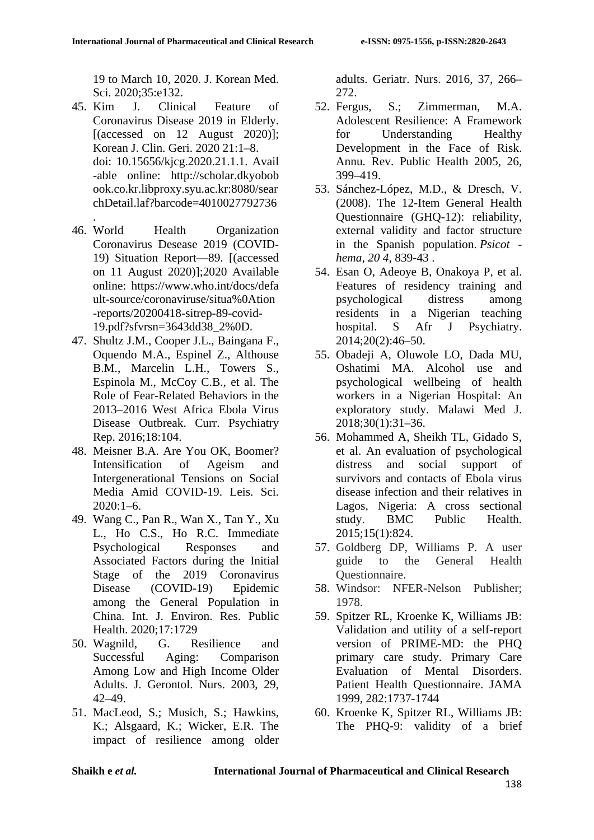19 to March 10, 2020. J. Korean Med. Sci. 2020;35:e132.

- 45. Kim J. Clinical Feature of Coronavirus Disease 2019 in Elderly. [(accessed on  $12$  August 2020)]; Korean J. Clin. Geri. 2020 21:1–8. doi: 10.15656/kjcg.2020.21.1.1. Avail -able online: http://scholar.dkyobob ook.co.kr.libproxy.syu.ac.kr:8080/sear chDetail.laf?barcode=4010027792736
- . 46. World Health Organization Coronavirus Desease 2019 (COVID-19) Situation Report—89. [(accessed on 11 August 2020)];2020 Available online: https://www.who.int/docs/defa ult-source/coronaviruse/situa%0Ation -reports/20200418-sitrep-89-covid-19.pdf?sfvrsn=3643dd38\_2%0D.
- 47. Shultz J.M., Cooper J.L., Baingana F., Oquendo M.A., Espinel Z., Althouse B.M., Marcelin L.H., Towers S., Espinola M., McCoy C.B., et al. The Role of Fear-Related Behaviors in the 2013–2016 West Africa Ebola Virus Disease Outbreak. Curr. Psychiatry Rep. 2016;18:104.
- 48. Meisner B.A. Are You OK, Boomer? Intensification of Ageism and Intergenerational Tensions on Social Media Amid COVID-19. Leis. Sci. 2020:1–6.
- 49. Wang C., Pan R., Wan X., Tan Y., Xu L., Ho C.S., Ho R.C. Immediate Psychological Responses and Associated Factors during the Initial Stage of the 2019 Coronavirus Disease (COVID-19) Epidemic among the General Population in China. Int. J. Environ. Res. Public Health. 2020;17:1729
- 50. Wagnild, G. Resilience and Successful Aging: Comparison Among Low and High Income Older Adults. J. Gerontol. Nurs. 2003, 29, 42–49.
- 51. MacLeod, S.; Musich, S.; Hawkins, K.; Alsgaard, K.; Wicker, E.R. The impact of resilience among older

adults. Geriatr. Nurs. 2016, 37, 266–

- $272.$ <br>52 Fergus S.: Zimmerman, M.A. Adolescent Resilience: A Framework for Understanding Healthy Development in the Face of Risk. Annu. Rev. Public Health 2005, 26, 399–419.
- 53. Sánchez-López, M.D., & Dresch, V. (2008). The 12-Item General Health Questionnaire (GHQ-12): reliability, external validity and factor structure in the Spanish population. *Psicot hema, 20 4*, 839-43 .
- 54. Esan O, Adeoye B, Onakoya P, et al. Features of residency training and psychological distress among residents in a Nigerian teaching hospital. S Afr J Psychiatry. 2014;20(2):46–50.
- 55. Obadeji A, Oluwole LO, Dada MU, Oshatimi MA. Alcohol use and psychological wellbeing of health workers in a Nigerian Hospital: An exploratory study. Malawi Med J. 2018;30(1):31–36.
- 56. Mohammed A, Sheikh TL, Gidado S, et al. An evaluation of psychological distress and social support of survivors and contacts of Ebola virus disease infection and their relatives in Lagos, Nigeria: A cross sectional study. BMC Public Health. 2015;15(1):824.
- 57. Goldberg DP, Williams P. A user guide to the General Health Questionnaire.
- 58. Windsor: NFER-Nelson Publisher; 1978.
- 59. Spitzer RL, Kroenke K, Williams JB: Validation and utility of a self-report version of PRIME-MD: the PHQ primary care study. Primary Care Evaluation of Mental Disorders. Patient Health Questionnaire. JAMA 1999, 282:1737-1744
- 60. Kroenke K, Spitzer RL, Williams JB: The PHQ-9: validity of a brief